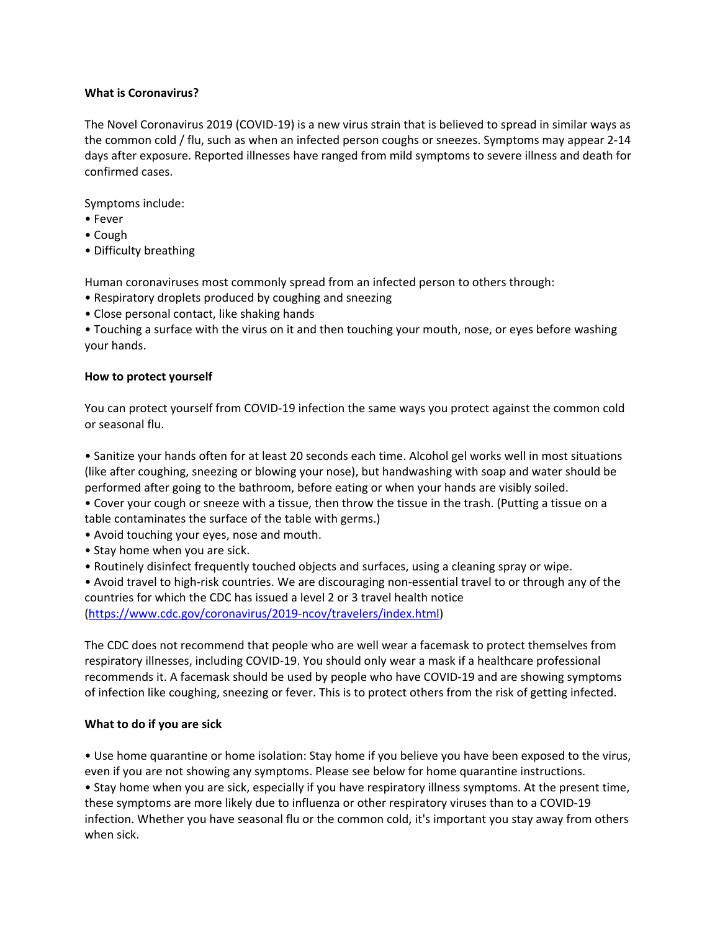#### **What is Coronavirus?**

The Novel Coronavirus 2019 (COVID‐19) is a new virus strain that is believed to spread in similar ways as the common cold / flu, such as when an infected person coughs or sneezes. Symptoms may appear 2‐14 days after exposure. Reported illnesses have ranged from mild symptoms to severe illness and death for confirmed cases.

Symptoms include:

- Fever
- Cough
- Difficulty breathing

Human coronaviruses most commonly spread from an infected person to others through:

- Respiratory droplets produced by coughing and sneezing
- Close personal contact, like shaking hands

• Touching a surface with the virus on it and then touching your mouth, nose, or eyes before washing your hands.

#### **How to protect yourself**

You can protect yourself from COVID‐19 infection the same ways you protect against the common cold or seasonal flu.

• Sanitize your hands often for at least 20 seconds each time. Alcohol gel works well in most situations (like after coughing, sneezing or blowing your nose), but handwashing with soap and water should be performed after going to the bathroom, before eating or when your hands are visibly soiled.

• Cover your cough or sneeze with a tissue, then throw the tissue in the trash. (Putting a tissue on a table contaminates the surface of the table with germs.)

- Avoid touching your eyes, nose and mouth.
- Stay home when you are sick.
- Routinely disinfect frequently touched objects and surfaces, using a cleaning spray or wipe.

• Avoid travel to high‐risk countries. We are discouraging non‐essential travel to or through any of the countries for which the CDC has issued a level 2 or 3 travel health notice (https://www.cdc.gov/coronavirus/2019‐ncov/travelers/index.html)

The CDC does not recommend that people who are well wear a facemask to protect themselves from respiratory illnesses, including COVID‐19. You should only wear a mask if a healthcare professional recommends it. A facemask should be used by people who have COVID‐19 and are showing symptoms of infection like coughing, sneezing or fever. This is to protect others from the risk of getting infected.

#### **What to do if you are sick**

• Use home quarantine or home isolation: Stay home if you believe you have been exposed to the virus, even if you are not showing any symptoms. Please see below for home quarantine instructions.

• Stay home when you are sick, especially if you have respiratory illness symptoms. At the present time, these symptoms are more likely due to influenza or other respiratory viruses than to a COVID‐19 infection. Whether you have seasonal flu or the common cold, it's important you stay away from others when sick.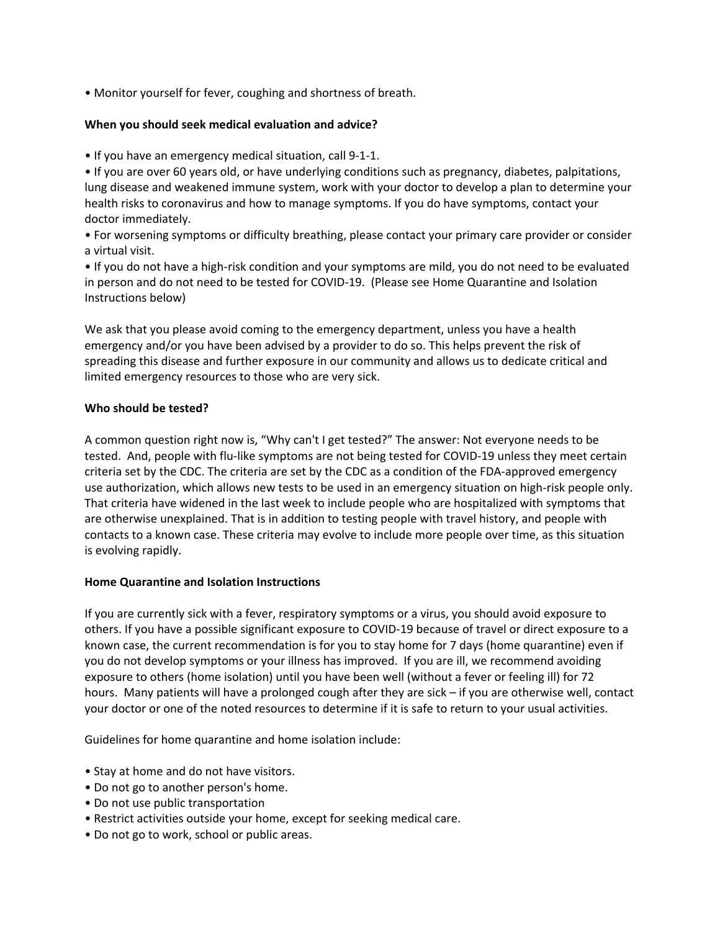• Monitor yourself for fever, coughing and shortness of breath.

#### **When you should seek medical evaluation and advice?**

• If you have an emergency medical situation, call 9‐1‐1.

• If you are over 60 years old, or have underlying conditions such as pregnancy, diabetes, palpitations, lung disease and weakened immune system, work with your doctor to develop a plan to determine your health risks to coronavirus and how to manage symptoms. If you do have symptoms, contact your doctor immediately.

• For worsening symptoms or difficulty breathing, please contact your primary care provider or consider a virtual visit.

• If you do not have a high‐risk condition and your symptoms are mild, you do not need to be evaluated in person and do not need to be tested for COVID‐19. (Please see Home Quarantine and Isolation Instructions below)

We ask that you please avoid coming to the emergency department, unless you have a health emergency and/or you have been advised by a provider to do so. This helps prevent the risk of spreading this disease and further exposure in our community and allows us to dedicate critical and limited emergency resources to those who are very sick.

#### **Who should be tested?**

A common question right now is, "Why can't I get tested?" The answer: Not everyone needs to be tested. And, people with flu‐like symptoms are not being tested for COVID‐19 unless they meet certain criteria set by the CDC. The criteria are set by the CDC as a condition of the FDA‐approved emergency use authorization, which allows new tests to be used in an emergency situation on high‐risk people only. That criteria have widened in the last week to include people who are hospitalized with symptoms that are otherwise unexplained. That is in addition to testing people with travel history, and people with contacts to a known case. These criteria may evolve to include more people over time, as this situation is evolving rapidly.

#### **Home Quarantine and Isolation Instructions**

If you are currently sick with a fever, respiratory symptoms or a virus, you should avoid exposure to others. If you have a possible significant exposure to COVID‐19 because of travel or direct exposure to a known case, the current recommendation is for you to stay home for 7 days (home quarantine) even if you do not develop symptoms or your illness has improved. If you are ill, we recommend avoiding exposure to others (home isolation) until you have been well (without a fever or feeling ill) for 72 hours. Many patients will have a prolonged cough after they are sick – if you are otherwise well, contact your doctor or one of the noted resources to determine if it is safe to return to your usual activities.

Guidelines for home quarantine and home isolation include:

- Stay at home and do not have visitors.
- Do not go to another person's home.
- Do not use public transportation
- Restrict activities outside your home, except for seeking medical care.
- Do not go to work, school or public areas.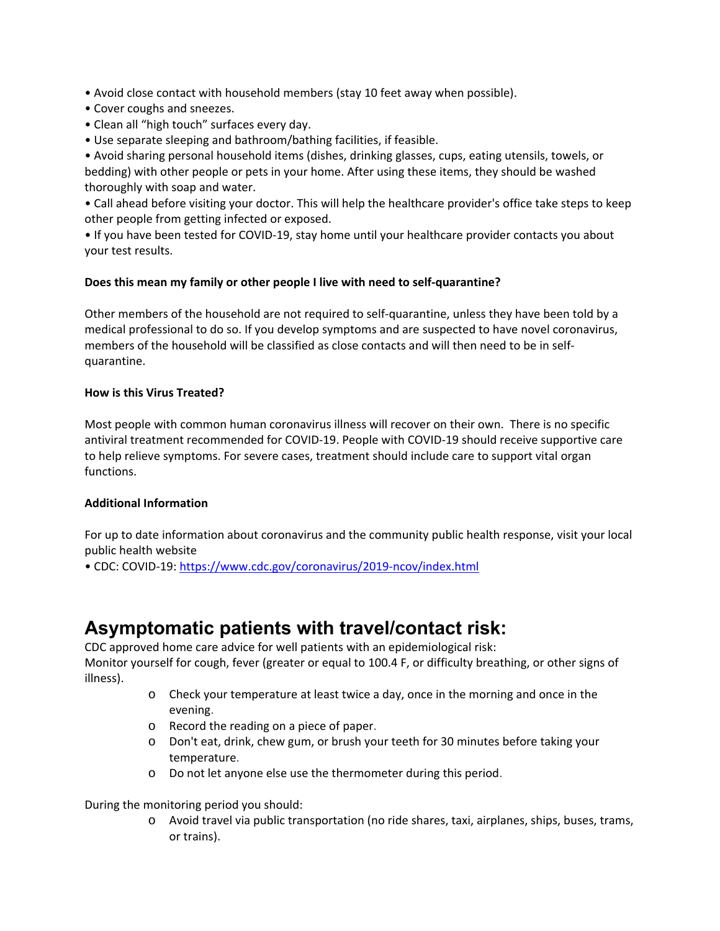• Avoid close contact with household members (stay 10 feet away when possible).

- Cover coughs and sneezes.
- Clean all "high touch" surfaces every day.
- Use separate sleeping and bathroom/bathing facilities, if feasible.

• Avoid sharing personal household items (dishes, drinking glasses, cups, eating utensils, towels, or bedding) with other people or pets in your home. After using these items, they should be washed thoroughly with soap and water.

• Call ahead before visiting your doctor. This will help the healthcare provider's office take steps to keep other people from getting infected or exposed.

• If you have been tested for COVID‐19, stay home until your healthcare provider contacts you about your test results.

#### **Does this mean my family or other people I live with need to self‐quarantine?**

Other members of the household are not required to self‐quarantine, unless they have been told by a medical professional to do so. If you develop symptoms and are suspected to have novel coronavirus, members of the household will be classified as close contacts and will then need to be in self‐ quarantine.

#### **How is this Virus Treated?**

Most people with common human coronavirus illness will recover on their own. There is no specific antiviral treatment recommended for COVID‐19. People with COVID‐19 should receive supportive care to help relieve symptoms. For severe cases, treatment should include care to support vital organ functions.

#### **Additional Information**

For up to date information about coronavirus and the community public health response, visit your local public health website

• CDC: COVID‐19: https://www.cdc.gov/coronavirus/2019‐ncov/index.html

# **Asymptomatic patients with travel/contact risk:**

CDC approved home care advice for well patients with an epidemiological risk: Monitor yourself for cough, fever (greater or equal to 100.4 F, or difficulty breathing, or other signs of illness).

- $\circ$  Check your temperature at least twice a day, once in the morning and once in the evening.
- o Record the reading on a piece of paper.
- o Don't eat, drink, chew gum, or brush your teeth for 30 minutes before taking your temperature.
- o Do not let anyone else use the thermometer during this period.

During the monitoring period you should:

o Avoid travel via public transportation (no ride shares, taxi, airplanes, ships, buses, trams, or trains).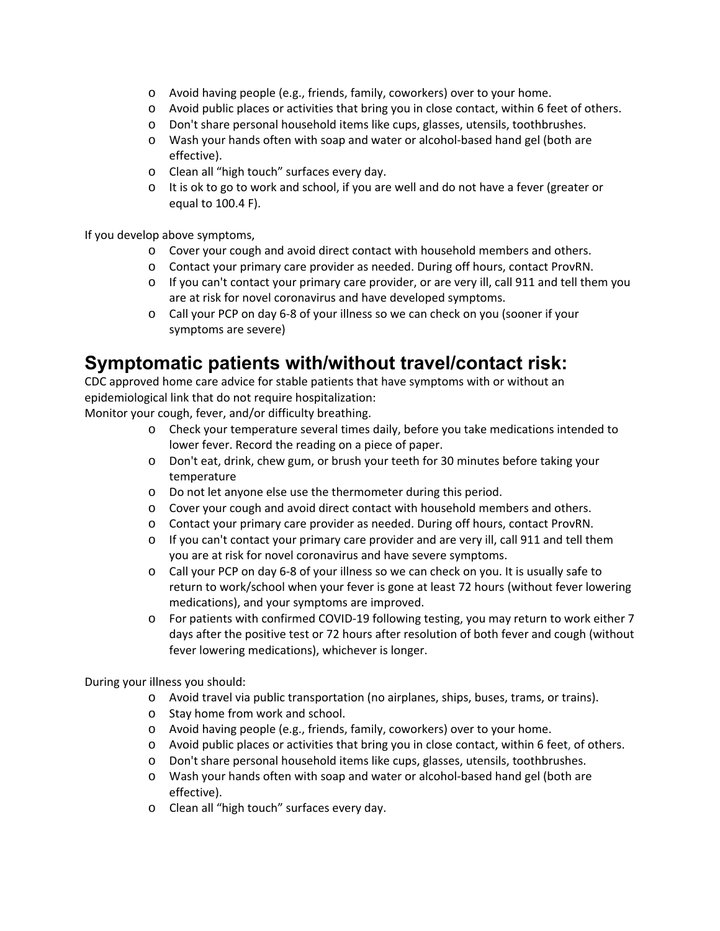- o Avoid having people (e.g., friends, family, coworkers) over to your home.
- o Avoid public places or activities that bring you in close contact, within 6 feet of others.
- o Don't share personal household items like cups, glasses, utensils, toothbrushes.
- o Wash your hands often with soap and water or alcohol‐based hand gel (both are effective).
- o Clean all "high touch" surfaces every day.
- $\circ$  It is ok to go to work and school, if you are well and do not have a fever (greater or equal to 100.4 F).

If you develop above symptoms,

- o Cover your cough and avoid direct contact with household members and others.
- o Contact your primary care provider as needed. During off hours, contact ProvRN.
- $\circ$  If you can't contact your primary care provider, or are very ill, call 911 and tell them you are at risk for novel coronavirus and have developed symptoms.
- o Call your PCP on day 6‐8 of your illness so we can check on you (sooner if your symptoms are severe)

# **Symptomatic patients with/without travel/contact risk:**

CDC approved home care advice for stable patients that have symptoms with or without an epidemiological link that do not require hospitalization:

Monitor your cough, fever, and/or difficulty breathing.

- o Check your temperature several times daily, before you take medications intended to lower fever. Record the reading on a piece of paper.
- o Don't eat, drink, chew gum, or brush your teeth for 30 minutes before taking your temperature
- o Do not let anyone else use the thermometer during this period.
- o Cover your cough and avoid direct contact with household members and others.
- o Contact your primary care provider as needed. During off hours, contact ProvRN.
- $\circ$  If you can't contact your primary care provider and are very ill, call 911 and tell them you are at risk for novel coronavirus and have severe symptoms.
- o Call your PCP on day 6‐8 of your illness so we can check on you. It is usually safe to return to work/school when your fever is gone at least 72 hours (without fever lowering medications), and your symptoms are improved.
- o For patients with confirmed COVID‐19 following testing, you may return to work either 7 days after the positive test or 72 hours after resolution of both fever and cough (without fever lowering medications), whichever is longer.

During your illness you should:

- o Avoid travel via public transportation (no airplanes, ships, buses, trams, or trains).
- o Stay home from work and school.
- o Avoid having people (e.g., friends, family, coworkers) over to your home.
- o Avoid public places or activities that bring you in close contact, within 6 feet, of others.
- o Don't share personal household items like cups, glasses, utensils, toothbrushes.
- o Wash your hands often with soap and water or alcohol‐based hand gel (both are effective).
- o Clean all "high touch" surfaces every day.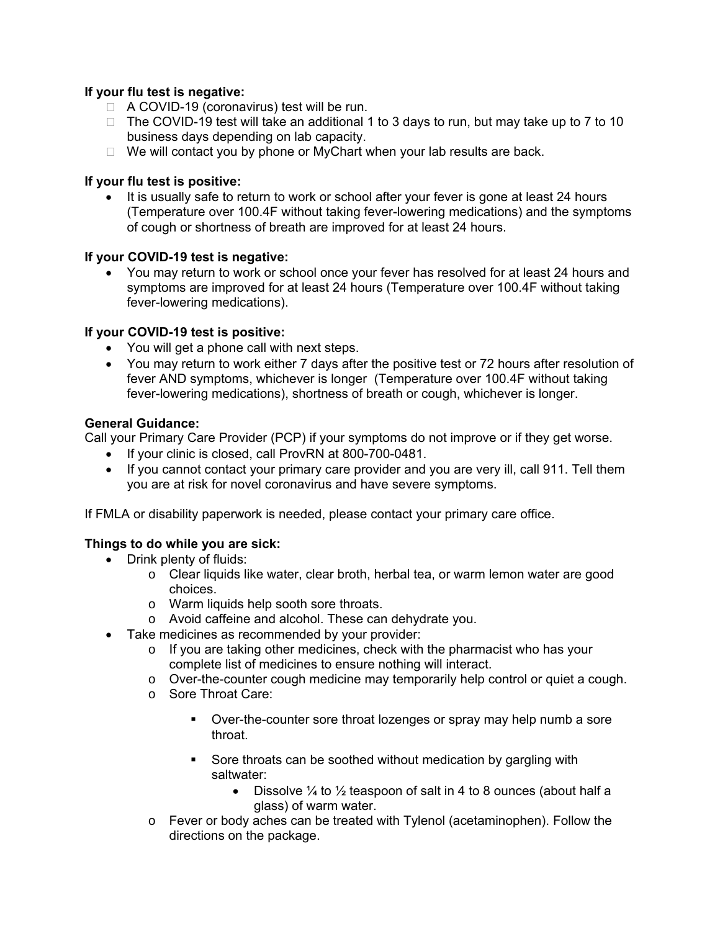# **If your flu test is negative:**

- □ A COVID-19 (coronavirus) test will be run.
- $\Box$  The COVID-19 test will take an additional 1 to 3 days to run, but may take up to 7 to 10 business days depending on lab capacity.
- $\Box$  We will contact you by phone or MyChart when your lab results are back.

## **If your flu test is positive:**

 It is usually safe to return to work or school after your fever is gone at least 24 hours (Temperature over 100.4F without taking fever-lowering medications) and the symptoms of cough or shortness of breath are improved for at least 24 hours.

## **If your COVID-19 test is negative:**

 You may return to work or school once your fever has resolved for at least 24 hours and symptoms are improved for at least 24 hours (Temperature over 100.4F without taking fever-lowering medications).

# **If your COVID-19 test is positive:**

- You will get a phone call with next steps.
- You may return to work either 7 days after the positive test or 72 hours after resolution of fever AND symptoms, whichever is longer (Temperature over 100.4F without taking fever-lowering medications), shortness of breath or cough, whichever is longer.

## **General Guidance:**

Call your Primary Care Provider (PCP) if your symptoms do not improve or if they get worse.

- If your clinic is closed, call ProvRN at 800-700-0481.
- If you cannot contact your primary care provider and you are very ill, call 911. Tell them you are at risk for novel coronavirus and have severe symptoms.

If FMLA or disability paperwork is needed, please contact your primary care office.

## **Things to do while you are sick:**

- Drink plenty of fluids:
	- o Clear liquids like water, clear broth, herbal tea, or warm lemon water are good choices.
	- o Warm liquids help sooth sore throats.
	- o Avoid caffeine and alcohol. These can dehydrate you.
- Take medicines as recommended by your provider:
	- $\circ$  If you are taking other medicines, check with the pharmacist who has your complete list of medicines to ensure nothing will interact.
	- o Over-the-counter cough medicine may temporarily help control or quiet a cough.
	- o Sore Throat Care:
		- Over-the-counter sore throat lozenges or spray may help numb a sore throat.
		- Sore throats can be soothed without medication by gargling with saltwater:
			- Dissolve  $\frac{1}{4}$  to  $\frac{1}{2}$  teaspoon of salt in 4 to 8 ounces (about half a glass) of warm water.
	- o Fever or body aches can be treated with Tylenol (acetaminophen). Follow the directions on the package.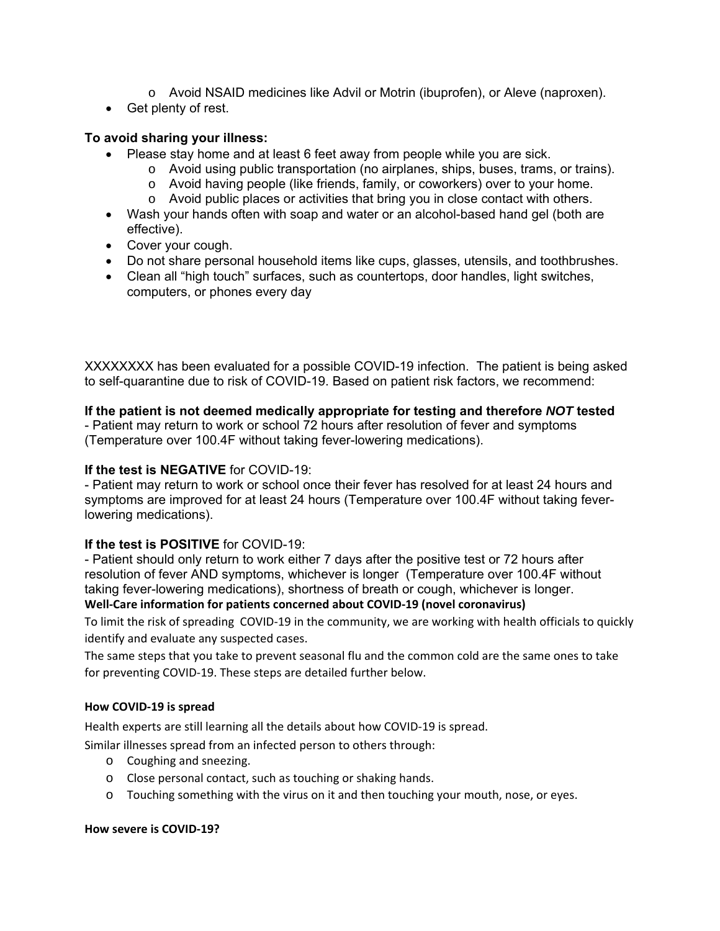- o Avoid NSAID medicines like Advil or Motrin (ibuprofen), or Aleve (naproxen).
- Get plenty of rest.

## **To avoid sharing your illness:**

- Please stay home and at least 6 feet away from people while you are sick.
	- o Avoid using public transportation (no airplanes, ships, buses, trams, or trains).
	- o Avoid having people (like friends, family, or coworkers) over to your home.
	- o Avoid public places or activities that bring you in close contact with others.
- Wash your hands often with soap and water or an alcohol-based hand gel (both are effective).
- Cover your cough.
- Do not share personal household items like cups, glasses, utensils, and toothbrushes.
- Clean all "high touch" surfaces, such as countertops, door handles, light switches, computers, or phones every day

XXXXXXXX has been evaluated for a possible COVID-19 infection. The patient is being asked to self-quarantine due to risk of COVID-19. Based on patient risk factors, we recommend:

# **If the patient is not deemed medically appropriate for testing and therefore** *NOT* **tested**

- Patient may return to work or school 72 hours after resolution of fever and symptoms (Temperature over 100.4F without taking fever-lowering medications).

## **If the test is NEGATIVE** for COVID-19:

- Patient may return to work or school once their fever has resolved for at least 24 hours and symptoms are improved for at least 24 hours (Temperature over 100.4F without taking feverlowering medications).

## **If the test is POSITIVE** for COVID-19:

- Patient should only return to work either 7 days after the positive test or 72 hours after resolution of fever AND symptoms, whichever is longer (Temperature over 100.4F without taking fever-lowering medications), shortness of breath or cough, whichever is longer.

# **Well‐Care information for patients concerned about COVID‐19 (novel coronavirus)**

To limit the risk of spreading COVID‐19 in the community, we are working with health officials to quickly identify and evaluate any suspected cases.

The same steps that you take to prevent seasonal flu and the common cold are the same ones to take for preventing COVID‐19. These steps are detailed further below.

## **How COVID‐19 is spread**

Health experts are still learning all the details about how COVID‐19 is spread.

Similar illnesses spread from an infected person to others through:

- o Coughing and sneezing.
- o Close personal contact, such as touching or shaking hands.
- o Touching something with the virus on it and then touching your mouth, nose, or eyes.

#### **How severe is COVID‐19?**